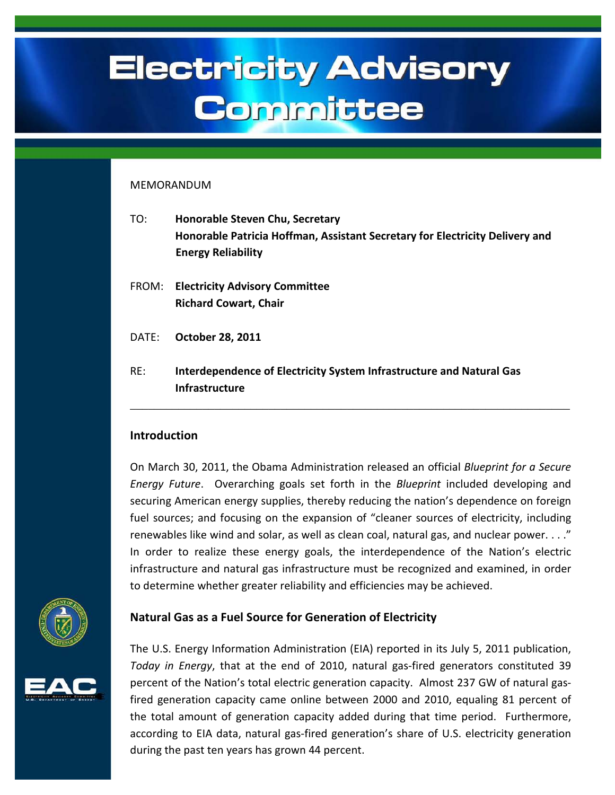# **Electricity Advisory** Committee

### MEMORANDUM

| TO:   | <b>Honorable Steven Chu, Secretary</b><br>Honorable Patricia Hoffman, Assistant Secretary for Electricity Delivery and<br><b>Energy Reliability</b> |
|-------|-----------------------------------------------------------------------------------------------------------------------------------------------------|
| FROM: | <b>Electricity Advisory Committee</b><br><b>Richard Cowart, Chair</b>                                                                               |
| DATE: | <b>October 28, 2011</b>                                                                                                                             |
| RF:   | Interdependence of Electricity System Infrastructure and Natural Gas<br><b>Infrastructure</b>                                                       |

# **Introduction**

On March 30, 2011, the Obama Administration released an official *Blueprint for a Secure Energy Future*. Overarching goals set forth in the *Blueprint* included developing and securing American energy supplies, thereby reducing the nation's dependence on foreign fuel sources; and focusing on the expansion of "cleaner sources of electricity, including renewables like wind and solar, as well as clean coal, natural gas, and nuclear power. . . ." In order to realize these energy goals, the interdependence of the Nation's electric infrastructure and natural gas infrastructure must be recognized and examined, in order to determine whether greater reliability and efficiencies may be achieved.







The U.S. Energy Information Administration (EIA) reported in its July 5, 2011 publication, *Today in Energy*, that at the end of 2010, natural gas-fired generators constituted 39 percent of the Nation's total electric generation capacity. Almost 237 GW of natural gasfired generation capacity came online between 2000 and 2010, equaling 81 percent of the total amount of generation capacity added during that time period. Furthermore, according to EIA data, natural gas-fired generation's share of U.S. electricity generation during the past ten years has grown 44 percent.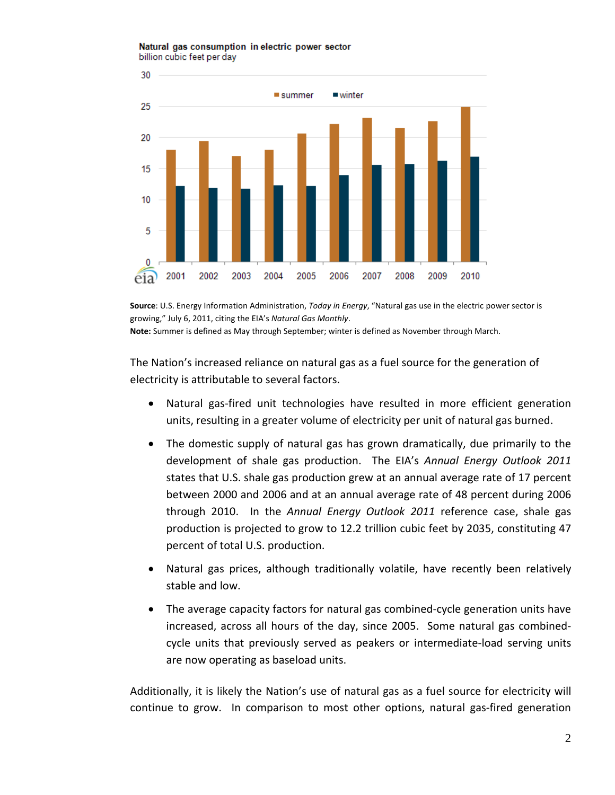#### Natural gas consumption in electric power sector billion cubic feet per day



**Source**: U.S. Energy Information Administration, *Today in Energy*, "Natural gas use in the electric power sector is growing," July 6, 2011, citing the EIA's *Natural Gas Monthly*.

**Note:** Summer is defined as May through September; winter is defined as November through March.

The Nation's increased reliance on natural gas as a fuel source for the generation of electricity is attributable to several factors.

- Natural gas-fired unit technologies have resulted in more efficient generation units, resulting in a greater volume of electricity per unit of natural gas burned.
- The domestic supply of natural gas has grown dramatically, due primarily to the development of shale gas production. The EIA's *Annual Energy Outlook 2011* states that U.S. shale gas production grew at an annual average rate of 17 percent between 2000 and 2006 and at an annual average rate of 48 percent during 2006 through 2010. In the *Annual Energy Outlook 2011* reference case, shale gas production is projected to grow to 12.2 trillion cubic feet by 2035, constituting 47 percent of total U.S. production.
- Natural gas prices, although traditionally volatile, have recently been relatively stable and low.
- The average capacity factors for natural gas combined-cycle generation units have increased, across all hours of the day, since 2005. Some natural gas combinedcycle units that previously served as peakers or intermediate-load serving units are now operating as baseload units.

Additionally, it is likely the Nation's use of natural gas as a fuel source for electricity will continue to grow. In comparison to most other options, natural gas-fired generation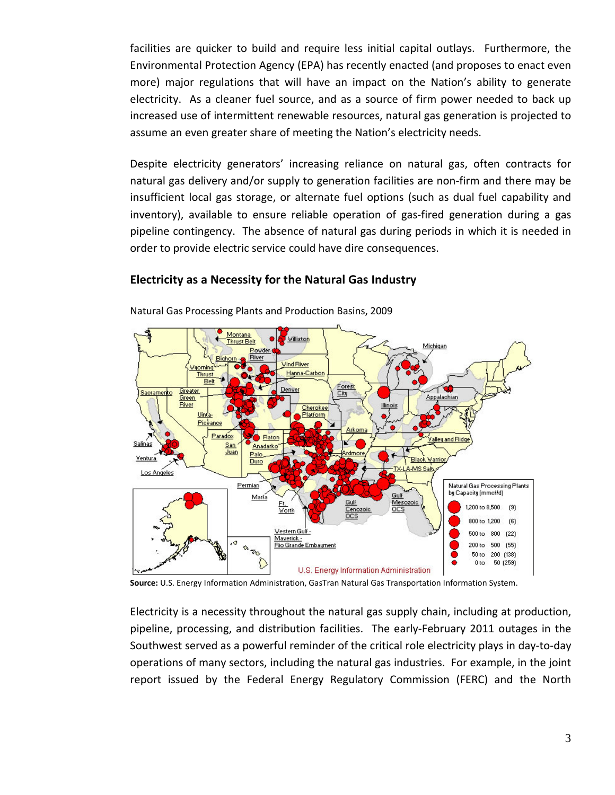facilities are quicker to build and require less initial capital outlays. Furthermore, the Environmental Protection Agency (EPA) has recently enacted (and proposes to enact even more) major regulations that will have an impact on the Nation's ability to generate electricity. As a cleaner fuel source, and as a source of firm power needed to back up increased use of intermittent renewable resources, natural gas generation is projected to assume an even greater share of meeting the Nation's electricity needs.

Despite electricity generators' increasing reliance on natural gas, often contracts for natural gas delivery and/or supply to generation facilities are non-firm and there may be insufficient local gas storage, or alternate fuel options (such as dual fuel capability and inventory), available to ensure reliable operation of gas-fired generation during a gas pipeline contingency. The absence of natural gas during periods in which it is needed in order to provide electric service could have dire consequences.

## **Electricity as a Necessity for the Natural Gas Industry**



Natural Gas Processing Plants and Production Basins, 2009

**Source:** U.S. Energy Information Administration, GasTran Natural Gas Transportation Information System.

Electricity is a necessity throughout the natural gas supply chain, including at production, pipeline, processing, and distribution facilities. The early-February 2011 outages in the Southwest served as a powerful reminder of the critical role electricity plays in day-to-day operations of many sectors, including the natural gas industries. For example, in the joint report issued by the Federal Energy Regulatory Commission (FERC) and the North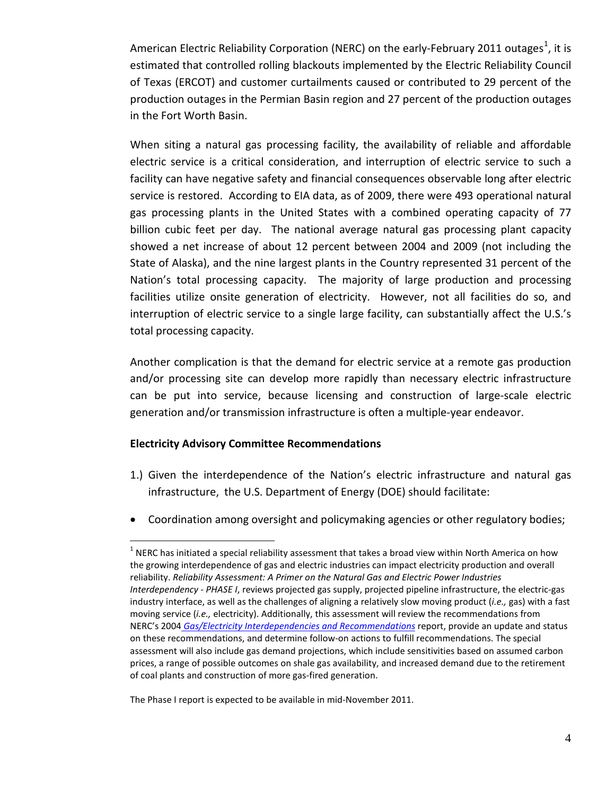American Electric Reliability Corporation (NERC) on the early-February 20[1](#page-3-0)1 outages<sup>1</sup>, it is estimated that controlled rolling blackouts implemented by the Electric Reliability Council of Texas (ERCOT) and customer curtailments caused or contributed to 29 percent of the production outages in the Permian Basin region and 27 percent of the production outages in the Fort Worth Basin.

When siting a natural gas processing facility, the availability of reliable and affordable electric service is a critical consideration, and interruption of electric service to such a facility can have negative safety and financial consequences observable long after electric service is restored. According to EIA data, as of 2009, there were 493 operational natural gas processing plants in the United States with a combined operating capacity of 77 billion cubic feet per day. The national average natural gas processing plant capacity showed a net increase of about 12 percent between 2004 and 2009 (not including the State of Alaska), and the nine largest plants in the Country represented 31 percent of the Nation's total processing capacity. The majority of large production and processing facilities utilize onsite generation of electricity. However, not all facilities do so, and interruption of electric service to a single large facility, can substantially affect the U.S.'s total processing capacity.

Another complication is that the demand for electric service at a remote gas production and/or processing site can develop more rapidly than necessary electric infrastructure can be put into service, because licensing and construction of large-scale electric generation and/or transmission infrastructure is often a multiple-year endeavor.

## **Electricity Advisory Committee Recommendations**

- 1.) Given the interdependence of the Nation's electric infrastructure and natural gas infrastructure, the U.S. Department of Energy (DOE) should facilitate:
- Coordination among oversight and policymaking agencies or other regulatory bodies;

The Phase I report is expected to be available in mid-November 2011.

<span id="page-3-0"></span> $<sup>1</sup>$  NERC has initiated a special reliability assessment that takes a broad view within North America on how</sup> the growing interdependence of gas and electric industries can impact electricity production and overall reliability. *Reliability Assessment: A Primer on the Natural Gas and Electric Power Industries Interdependency ‐ PHASE I*, reviews projected gas supply, projected pipeline infrastructure, the electric-gas industry interface, as well as the challenges of aligning a relatively slow moving product (*i.e.,* gas) with a fast moving service (*i.e.,* electricity). Additionally, this assessment will review the recommendations from NERC's 2004 *[Gas/Electricity Interdependencies and Recommendations](http://www.nerc.com/docs/docs/pubs/Gas_Electricity_Interdependencies_and_Recommendations.pdf)* report, provide an update and status on these recommendations, and determine follow-on actions to fulfill recommendations. The special assessment will also include gas demand projections, which include sensitivities based on assumed carbon prices, a range of possible outcomes on shale gas availability, and increased demand due to the retirement of coal plants and construction of more gas-fired generation.